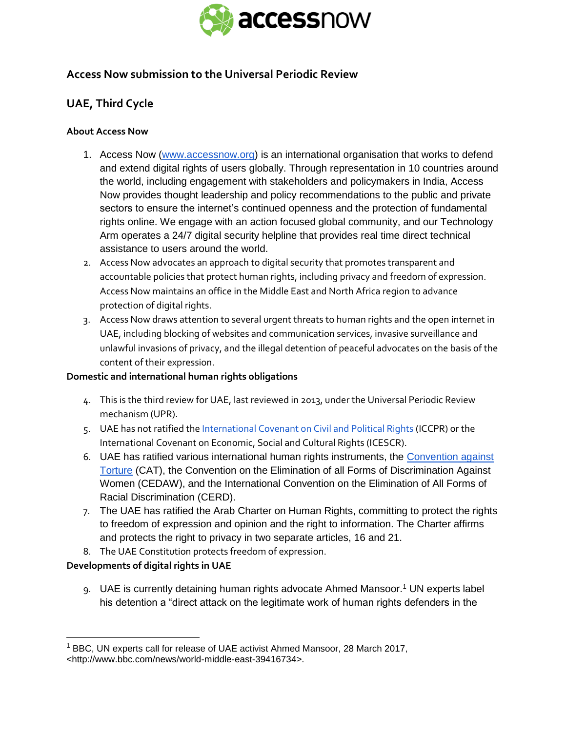

# **Access Now submission to the Universal Periodic Review**

# **UAE, Third Cycle**

### **About Access Now**

- 1. Access Now [\(www.accessnow.org\)](http://www.accessnow.org/) is an international organisation that works to defend and extend digital rights of users globally. Through representation in 10 countries around the world, including engagement with stakeholders and policymakers in India, Access Now provides thought leadership and policy recommendations to the public and private sectors to ensure the internet's continued openness and the protection of fundamental rights online. We engage with an action focused global community, and our Technology Arm operates a 24/7 digital security helpline that provides real time direct technical assistance to users around the world.
- 2. Access Now advocates an approach to digital security that promotes transparent and accountable policies that protect human rights, including privacy and freedom of expression. Access Now maintains an office in the Middle East and North Africa region to advance protection of digital rights.
- 3. Access Now draws attention to several urgent threats to human rights and the open internet in UAE, including blocking of websites and communication services, invasive surveillance and unlawful invasions of privacy, and the illegal detention of peaceful advocates on the basis of the content of their expression.

#### **Domestic and international human rights obligations**

- 4. This is the third review for UAE, last reviewed in 2013, under the Universal Periodic Review mechanism (UPR).
- 5. UAE has not ratified th[e International Covenant on Civil and Political Rights](http://www.ohchr.org/en/professionalinterest/pages/ccpr.aspx) (ICCPR) or the International Covenant on Economic, Social and Cultural Rights (ICESCR).
- 6. UAE has ratified various international human rights instruments, the [Convention against](http://www.ohchr.org/EN/ProfessionalInterest/Pages/CAT.aspx)  [Torture](http://www.ohchr.org/EN/ProfessionalInterest/Pages/CAT.aspx) (CAT), the Convention on the Elimination of all Forms of Discrimination Against Women (CEDAW), and the International Convention on the Elimination of All Forms of Racial Discrimination (CERD).
- 7. The UAE has ratified the Arab Charter on Human Rights, committing to protect the rights to freedom of expression and opinion and the right to information. The Charter affirms and protects the right to privacy in two separate articles, 16 and 21.
- 8. The UAE Constitution protects freedom of expression.

## **Developments of digital rights in UAE**

9. UAE is currently detaining human rights advocate Ahmed Mansoor.<sup>1</sup> UN experts label his detention a "direct attack on the legitimate work of human rights defenders in the

<sup>&</sup>lt;sup>1</sup> BBC, UN experts call for release of UAE activist Ahmed Mansoor, 28 March 2017, <http://www.bbc.com/news/world-middle-east-39416734>.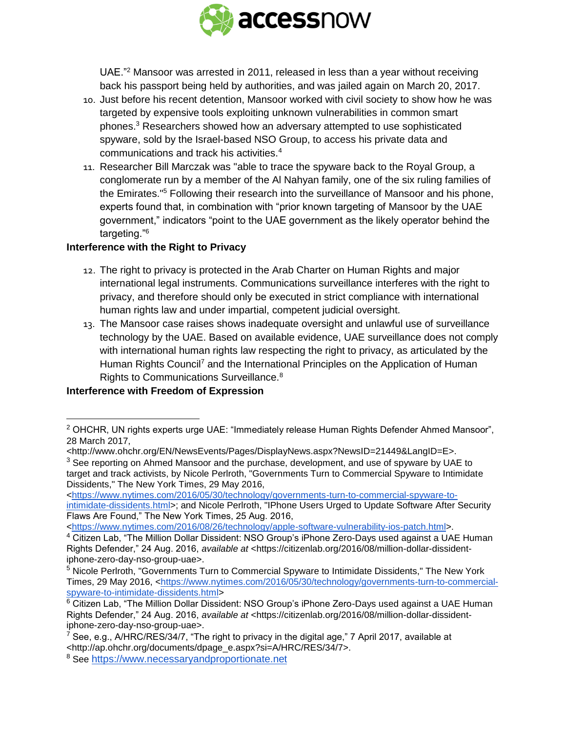

UAE."<sup>2</sup> Mansoor was arrested in 2011, released in less than a year without receiving back his passport being held by authorities, and was jailed again on March 20, 2017.

- 10. Just before his recent detention, Mansoor worked with civil society to show how he was targeted by expensive tools exploiting unknown vulnerabilities in common smart phones.<sup>3</sup> Researchers showed how an adversary attempted to use sophisticated spyware, sold by the Israel-based NSO Group, to access his private data and communications and track his activities.<sup>4</sup>
- 11. Researcher Bill Marczak was "able to trace the spyware back to the Royal Group, a conglomerate run by a member of the Al Nahyan family, one of the six ruling families of the Emirates."<sup>5</sup> Following their research into the surveillance of Mansoor and his phone, experts found that, in combination with "prior known targeting of Mansoor by the UAE government," indicators "point to the UAE government as the likely operator behind the targeting."<sup>6</sup>

### **Interference with the Right to Privacy**

- 12. The right to privacy is protected in the Arab Charter on Human Rights and major international legal instruments. Communications surveillance interferes with the right to privacy, and therefore should only be executed in strict compliance with international human rights law and under impartial, competent judicial oversight.
- 13. The Mansoor case raises shows inadequate oversight and unlawful use of surveillance technology by the UAE. Based on available evidence, UAE surveillance does not comply with international human rights law respecting the right to privacy, as articulated by the Human Rights Council<sup>7</sup> and the International Principles on the Application of Human Rights to Communications Surveillance.<sup>8</sup>

## **Interference with Freedom of Expression**

 $\overline{a}$ 

[<https://www.nytimes.com/2016/05/30/technology/governments-turn-to-commercial-spyware-to-](https://www.nytimes.com/2016/05/30/technology/governments-turn-to-commercial-spyware-to-intimidate-dissidents.html?_r=0)

[<https://www.nytimes.com/2016/08/26/technology/apple-software-vulnerability-ios-patch.html>](https://www.nytimes.com/2016/08/26/technology/apple-software-vulnerability-ios-patch.html).

<sup>&</sup>lt;sup>2</sup> OHCHR, UN rights experts urge UAE: "Immediately release Human Rights Defender Ahmed Mansoor", 28 March 2017,

<sup>&</sup>lt;http://www.ohchr.org/EN/NewsEvents/Pages/DisplayNews.aspx?NewsID=21449&LangID=E>.

<sup>&</sup>lt;sup>3</sup> See reporting on Ahmed Mansoor and the purchase, development, and use of spyware by UAE to target and track activists, by Nicole Perlroth, "Governments Turn to Commercial Spyware to Intimidate Dissidents," The New York Times, 29 May 2016,

[intimidate-dissidents.html>](https://www.nytimes.com/2016/05/30/technology/governments-turn-to-commercial-spyware-to-intimidate-dissidents.html?_r=0); and Nicole Perlroth, "IPhone Users Urged to Update Software After Security Flaws Are Found," The New York Times, 25 Aug. 2016,

<sup>&</sup>lt;sup>4</sup> Citizen Lab, "The Million Dollar Dissident: NSO Group's iPhone Zero-Days used against a UAE Human Rights Defender," 24 Aug. 2016, *available at* <https://citizenlab.org/2016/08/million-dollar-dissidentiphone-zero-day-nso-group-uae>.

<sup>5</sup> Nicole Perlroth, "Governments Turn to Commercial Spyware to Intimidate Dissidents," The New York Times, 29 May 2016, [<https://www.nytimes.com/2016/05/30/technology/governments-turn-to-commercial](https://www.nytimes.com/2016/05/30/technology/governments-turn-to-commercial-spyware-to-intimidate-dissidents.html?_r=0)[spyware-to-intimidate-dissidents.html>](https://www.nytimes.com/2016/05/30/technology/governments-turn-to-commercial-spyware-to-intimidate-dissidents.html?_r=0)

<sup>6</sup> Citizen Lab, "The Million Dollar Dissident: NSO Group's iPhone Zero-Days used against a UAE Human Rights Defender," 24 Aug. 2016, *available at* <https://citizenlab.org/2016/08/million-dollar-dissidentiphone-zero-day-nso-group-uae>.

<sup>&</sup>lt;sup>7</sup> See, e.g., A/HRC/RES/34/7, "The right to privacy in the digital age," 7 April 2017, available at <http://ap.ohchr.org/documents/dpage\_e.aspx?si=A/HRC/RES/34/7>.

<sup>8</sup> See [https://www.necessaryandproportionate.net](https://www.necessaryandproportionate.net/)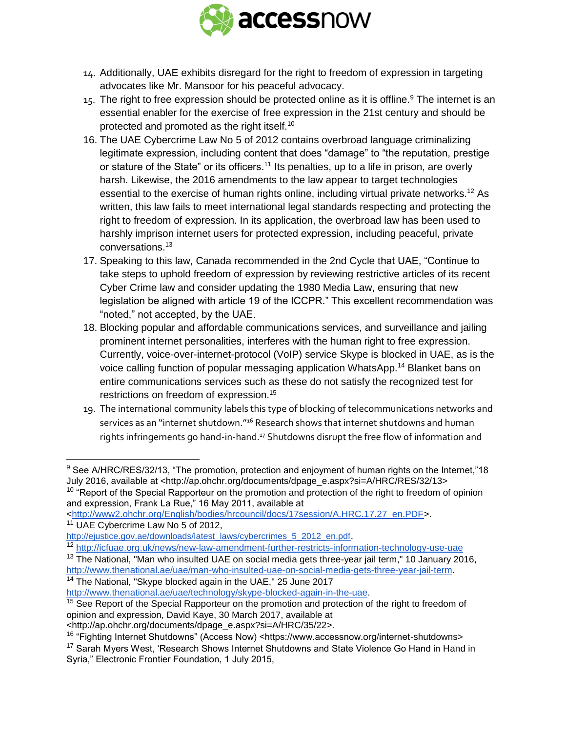

- 14. Additionally, UAE exhibits disregard for the right to freedom of expression in targeting advocates like Mr. Mansoor for his peaceful advocacy.
- 15. The right to free expression should be protected online as it is offline.<sup>9</sup> The internet is an essential enabler for the exercise of free expression in the 21st century and should be protected and promoted as the right itself.<sup>10</sup>
- 16. The UAE Cybercrime Law No 5 of 2012 contains overbroad language criminalizing legitimate expression, including content that does "damage" to "the reputation, prestige or stature of the State" or its officers.<sup>11</sup> Its penalties, up to a life in prison, are overly harsh. Likewise, the 2016 amendments to the law appear to target technologies essential to the exercise of human rights online, including virtual private networks.<sup>12</sup> As written, this law fails to meet international legal standards respecting and protecting the right to freedom of expression. In its application, the overbroad law has been used to harshly imprison internet users for protected expression, including peaceful, private conversations.<sup>13</sup>
- 17. Speaking to this law, Canada recommended in the 2nd Cycle that UAE, "Continue to take steps to uphold freedom of expression by reviewing restrictive articles of its recent Cyber Crime law and consider updating the 1980 Media Law, ensuring that new legislation be aligned with article 19 of the ICCPR." This excellent recommendation was "noted," not accepted, by the UAE.
- 18. Blocking popular and affordable communications services, and surveillance and jailing prominent internet personalities, interferes with the human right to free expression. Currently, voice-over-internet-protocol (VoIP) service Skype is blocked in UAE, as is the voice calling function of popular messaging application WhatsApp.<sup>14</sup> Blanket bans on entire communications services such as these do not satisfy the recognized test for restrictions on freedom of expression.<sup>15</sup>
- 19. The international community labels this type of blocking of telecommunications networks and services as an "internet shutdown."<sup>16</sup> Research shows that internet shutdowns and human rights infringements go hand-in-hand.<sup>17</sup> Shutdowns disrupt the free flow of information and

<sup>10</sup> "Report of the Special Rapporteur on the promotion and protection of the right to freedom of opinion and expression, Frank La Rue," 16 May 2011, available at

[<http://www2.ohchr.org/English/bodies/hrcouncil/docs/17session/A.HRC.17.27\\_en.PDF>](http://www2.ohchr.org/English/bodies/hrcouncil/docs/17session/A.HRC.17.27_en.PDF).

 $9$  See A/HRC/RES/32/13, "The promotion, protection and enjoyment of human rights on the Internet,"18 July 2016, available at <http://ap.ohchr.org/documents/dpage\_e.aspx?si=A/HRC/RES/32/13>

<sup>&</sup>lt;sup>11</sup> UAE Cybercrime Law No 5 of 2012,

[http://ejustice.gov.ae/downloads/latest\\_laws/cybercrimes\\_5\\_2012\\_en.pdf](http://ejustice.gov.ae/downloads/latest_laws/cybercrimes_5_2012_en.pdf).

<sup>12</sup> <http://icfuae.org.uk/news/new-law-amendment-further-restricts-information-technology-use-uae>

<sup>&</sup>lt;sup>13</sup> The National, "Man who insulted UAE on social media gets three-year jail term," 10 January 2016, [http://www.thenational.ae/uae/man-who-insulted-uae-on-social-media-gets-three-year-jail-term.](http://www.thenational.ae/uae/man-who-insulted-uae-on-social-media-gets-three-year-jail-term) <sup>14</sup> The National, "Skype blocked again in the UAE," 25 June 2017

[http://www.thenational.ae/uae/technology/skype-blocked-again-in-the-uae.](http://www.thenational.ae/uae/technology/skype-blocked-again-in-the-uae)

<sup>&</sup>lt;sup>15</sup> See Report of the Special Rapporteur on the promotion and protection of the right to freedom of opinion and expression, David Kaye, 30 March 2017, available at

<sup>&</sup>lt;http://ap.ohchr.org/documents/dpage\_e.aspx?si=A/HRC/35/22>.

<sup>&</sup>lt;sup>16</sup> "Fighting Internet Shutdowns" (Access Now) <https://www.accessnow.org/internet-shutdowns> <sup>17</sup> Sarah Myers West, 'Research Shows Internet Shutdowns and State Violence Go Hand in Hand in Syria," Electronic Frontier Foundation, 1 July 2015,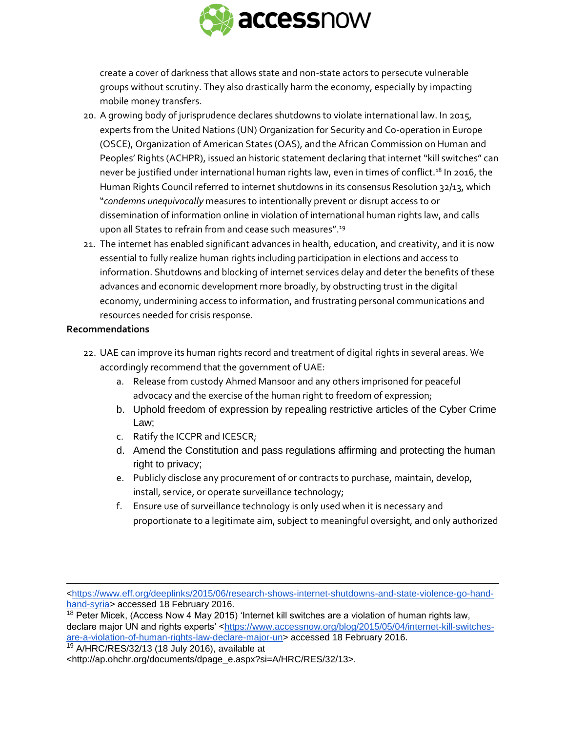

create a cover of darkness that allows state and non-state actors to persecute vulnerable groups without scrutiny. They also drastically harm the economy, especially by impacting mobile money transfers.

- 20. A growing body of jurisprudence declares shutdowns to violate international law. In 2015, experts from the United Nations (UN) Organization for Security and Co-operation in Europe (OSCE), Organization of American States (OAS), and the African Commission on Human and Peoples' Rights (ACHPR), issued an historic statement declaring that internet "kill switches" can never be justified under international human rights law, even in times of conflict.<sup>18</sup> In 2016, the Human Rights Council referred to internet shutdowns in its consensus Resolution 32/13, which "*condemns unequivocally* measures to intentionally prevent or disrupt access to or dissemination of information online in violation of international human rights law, and calls upon all States to refrain from and cease such measures".<sup>19</sup>
- 21. The internet has enabled significant advances in health, education, and creativity, and it is now essential to fully realize human rights including participation in elections and access to information. Shutdowns and blocking of internet services delay and deter the benefits of these advances and economic development more broadly, by obstructing trust in the digital economy, undermining access to information, and frustrating personal communications and resources needed for crisis response.

#### **Recommendations**

- 22. UAE can improve its human rights record and treatment of digital rights in several areas. We accordingly recommend that the government of UAE:
	- a. Release from custody Ahmed Mansoor and any others imprisoned for peaceful advocacy and the exercise of the human right to freedom of expression;
	- b. Uphold freedom of expression by repealing restrictive articles of the Cyber Crime Law;
	- c. Ratify the ICCPR and ICESCR;
	- d. Amend the Constitution and pass regulations affirming and protecting the human right to privacy;
	- e. Publicly disclose any procurement of or contracts to purchase, maintain, develop, install, service, or operate surveillance technology;
	- f. Ensure use of surveillance technology is only used when it is necessary and proportionate to a legitimate aim, subject to meaningful oversight, and only authorized

 $18$  Peter Micek, (Access Now 4 May 2015) 'Internet kill switches are a violation of human rights law, declare major UN and rights experts' [<https://www.accessnow.org/blog/2015/05/04/internet-kill-switches](https://www.accessnow.org/blog/2015/05/04/internet-kill-switches-are-a-violation-of-human-rights-law-declare-major-un)[are-a-violation-of-human-rights-law-declare-major-un>](https://www.accessnow.org/blog/2015/05/04/internet-kill-switches-are-a-violation-of-human-rights-law-declare-major-un) accessed 18 February 2016.

<sup>19</sup> A/HRC/RES/32/13 (18 July 2016), available at

 [<https://www.eff.org/deeplinks/2015/06/research-shows-internet-shutdowns-and-state-violence-go-hand](https://www.eff.org/deeplinks/2015/06/research-shows-internet-shutdowns-and-state-violence-go-hand-hand-syria)[hand-syria>](https://www.eff.org/deeplinks/2015/06/research-shows-internet-shutdowns-and-state-violence-go-hand-hand-syria) accessed 18 February 2016.

<sup>&</sup>lt;http://ap.ohchr.org/documents/dpage\_e.aspx?si=A/HRC/RES/32/13>.